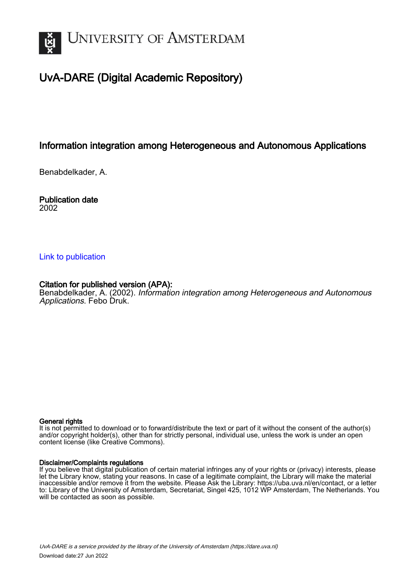

## UvA-DARE (Digital Academic Repository)

## Information integration among Heterogeneous and Autonomous Applications

Benabdelkader, A.

Publication date 2002

### [Link to publication](https://dare.uva.nl/personal/pure/en/publications/information-integration-among-heterogeneous-and-autonomous-applications(ef4fae89-d2a6-4a04-a42d-2d0d8dfffb3c).html)

### Citation for published version (APA):

Benabdelkader, A. (2002). Information integration among Heterogeneous and Autonomous Applications. Febo Druk.

#### General rights

It is not permitted to download or to forward/distribute the text or part of it without the consent of the author(s) and/or copyright holder(s), other than for strictly personal, individual use, unless the work is under an open content license (like Creative Commons).

#### Disclaimer/Complaints regulations

If you believe that digital publication of certain material infringes any of your rights or (privacy) interests, please let the Library know, stating your reasons. In case of a legitimate complaint, the Library will make the material inaccessible and/or remove it from the website. Please Ask the Library: https://uba.uva.nl/en/contact, or a letter to: Library of the University of Amsterdam, Secretariat, Singel 425, 1012 WP Amsterdam, The Netherlands. You will be contacted as soon as possible.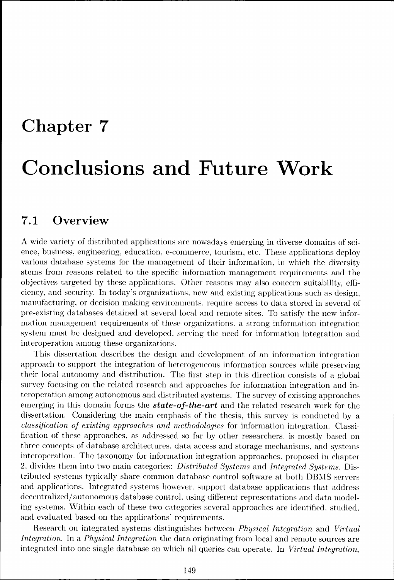# Chapter 7

# Conclusions and Future Work

### 7.1 Overview

AA wide variety of distributed applications are nowadays emerging in diverse domains of science, business, engineering, education, e-commerce, tourism, etc. These applications deploy various database systems for the management of their information, in which the diversity stems from reasons related to the specific information management requirements and the objectives targeted by these applications. Other reasons may also concern suitability, efficiency,, and security. In today's organizations, new and existing applications such as design, manufacturing, or decision making environments, require access to data stored in several of pre-existing databases detained at several local and remote sites. To satisfy the new information management requirements of these organizations, a strong information integration systemm must be designed and developed, serving the need for information integration and interoperation among these organizations.

This dissertation describes the design and development of an information integration approach to support the integration of heterogeneous information sources while preserving their local autonomy and distribution. The first step in this direction consists of a global survey focusing on the related research and approaches for information integration and interoperation among autonomous and distributed systems. The survey of existing approaches emerging in this domain forms the **state-of-the-art** and the related research work for the dissertation.. Considering the main emphasis of the thesis, this survey is conducted by a *classification of existing approaches and methodologies* for information integration. Classification of these approaches, as addressed so far by other researchers, is mostly based on three concepts of database architectures, data access and storage mechanisms, and systems interoperation.. The taxonomy for information integration approaches, proposed in chapter 2.. divides them into two main categories: *Distributed Systems* and *Integrated Systems.* Distributed systems typically share common database control software at both DBMS servers and applications. Integrated systems however, support database applications that address decentralized/autonomous database control, using different representations and data modeling systems. Within each of these two categories several approaches are identified, studied, and evaluated based on the applications' requirements.

Research on integrated systems distinguishes between *Physical Integration* and Virtual *Integration.* In a *Physical Integration* the data originating from local and remote sources are integrated into one single database on which all queries can operate. In *Virtual Integration*,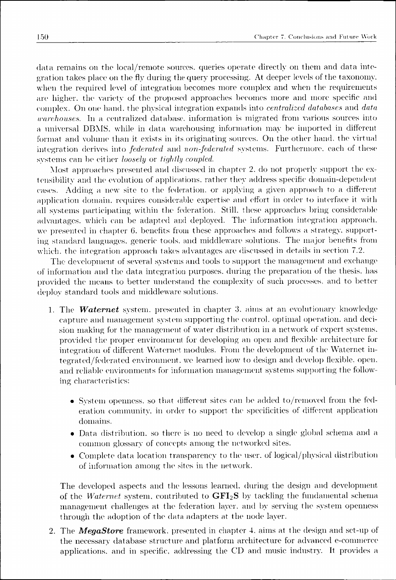data remains on the local/remote sources, queries operate directly on them and data integration takes place on the fly during the query processing. At deeper levels of the taxonomy, when the required level of integration becomes more complex and when the requirements are higher, the variety of the proposed approaches becomes more and more specific and complex.. On one hand, the physical integration expands into *centralized databases* and *data warehouses*. In a centralized database, information is migrated from various sources into a universal DBMS, while in data warehousing information may be imported in different format and volume than it exists in its originating sources. On the other hand, the virtual integration derives into *federated* and *non-federated* systems. Furthermore, each of these systems can be either *loosely* or *tightly coupled*.

Most approaches presented and discussed in chapter 2, do not properly support the extensibility and the evolution of applications, rather they address specific domain-dependent cases.. Adding a new site to the federation, or applying a given approach to a different application domain, requires considerable expertise and effort in order to interface it with alll systems participating within the federation. Still, these approaches bring considerable advantages, which can be adapted and deployed. The information integration approach, we presented in chapter 6. benefits from these approaches and follows a strategy, supportingg standard languages, generic tools, and middleware solutions. The major benefits from which, the integration approach takes advantages are discussed in details in section 7.2.

The development of several systems and tools to support the management and exchange of information and the data integration purposes, during the preparation of the thesis, has provided the means to better understand the complexity of such processes, and to better deploy standard tools and middleware solutions.

- 1.. The *Waternet* system, presented in chapter 3. aims at an evolutionary knowledge capture and management system supporting the control, optimal operation, and decision making for the management of water distribution in a network of expert systems, provided the proper environment for developing an open and flexible architecture for integration of different Waternet modules. From the development of the Waternet integrated/federated environment, we learned how to design and develop flexible, open, and reliable environments for information management systems supporting the following characteristics:
	- System openness, so that different sites can be added to/removed from the federation community, in order to support the specificities of different application domains. .
	- Data distribution, so there is no need to develop a single global schema and a common glossary of concepts among the networked sites.
	- Complete data location transparency to the user, of logical/physical distribution of information among the sites in the network.

The developed aspects and the lessons learned, during the design and development of the *Waternet* system, contributed to  $\mathbf{GFI}_2\mathbf{S}$  by tackling the fundamental schema management challenges at the federation layer, and by serving the system openness through the adoption of the data adapters at the node layer.

2.. The *MegaStore* framework, presented in chapter 4. aims at the design and set-up of the necessary database structure and platform architecture for advanced e-commerce applications,, and in specific, addressing the CD and music industry. It provides a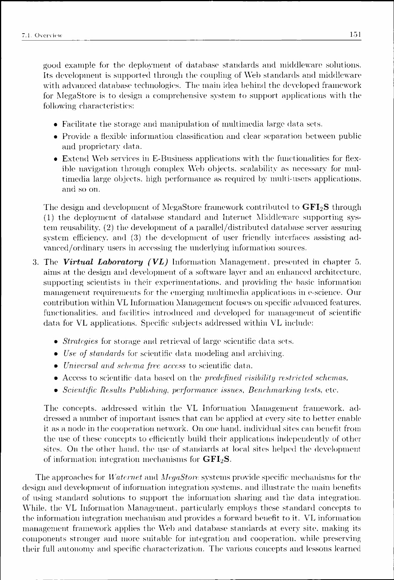good example for the deployment of database standards and middleware solutions. Its development is supported through the coupling of Web standards and middleware with advanced database technologies. The main idea behind the developed framework for MegaStore is to design a comprehensive system to support applications with the following characteristics:

- Facilitate the storage and manipulation of multimedia large data sets.
- Provide a flexible information classification and clear separation between public and proprietary data.
- Extend Web services in E-Business applications with the functionalities for flexible navigation through complex Web objects, scalability as necessary for multimediaa large objects, high performance as required by multi-users applications, and so on.

The design and development of MegaStore framework contributed to **GFI<sub>2</sub>S** through (1)) the deployment of database standard and Internet Middleware supporting system reusability. (2) the development of a parallel/distributed database server assuring system efficiency, and (3) the development of user friendly interfaces assisting advanced/ordinary users in accessing the underlying information sources.

- 3.. The *Virtual Laboratory (VL)* Information Management, presented in chapter 5. aims at the design and development of a software layer and an enhanced architecture, supporting scientists in their experimentations, and providing the basic information managementt requirements for the emerging multimedia applications in e-science. Our contribution within VL Information Management focuses on specific advanced features, functionalities, and facilities introduced and developed for management of scientific data for VL applications. Specific subjects addressed within VL include:
	- *Strategies* for storage and retrieval of large scientific data sets.
	- *Use of standards* for scientific data modeling and archiving.
	- *Universal and schema free access* to scientific data.
	- Access to scientific data based on the *predefined visibility restricted schemas.*
	- *Scientific Results Publishing, performance issues, Benchmarking tests,* etc.

The concepts, addressed within the VL Information Management framework, addressed a number of important issues that can be applied at every site to better enable it as a node in the cooperation network. On one hand, individual sites can benefit from the use of these concepts to efficiently build their applications independently of other sites. On the other hand, the use of standards at local sites helped the development of information integration mechanisms for  $\text{GFI}_2\text{S}$ .

The approaches for *Waternet* and *MegaStore* systems provide specific mechanisms for the design and development of information integration systems, and illustrate the main benefits of using standard solutions to support the information sharing and the data integration. While. the VL Information Management, particularly employs these standard concepts to the information integration mechanism and provides a forward benefit to it. VL information management framework applies the Web and database standards at every site, making its componentss stronger and more suitable for integration and cooperation, while preserving their full autonomy and specific characterization. The various concepts and lessons learned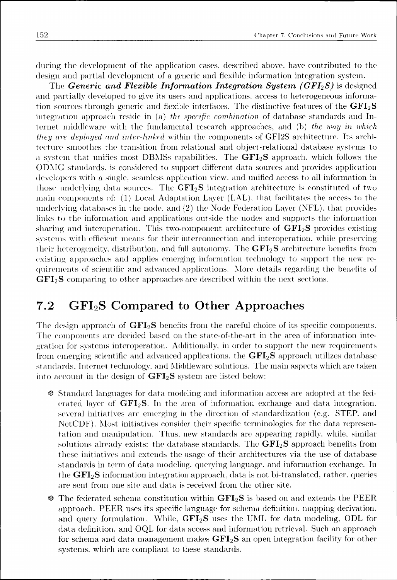during the development of the application cases, described above, have contributed to the design and partial development of a generic and flexible information integration system.

The *Generic and Flexible Information Integration System (GFI<sub>2</sub>S)* is designed and partially developed to give its users and applications, access to heterogeneous information sources through generic and flexible interfaces. The distinctive features of the **GFI<sub>2</sub>S** integration approach reside in (a) the *specific combination* of database standards and Internet middleware with the fundamental research approaches, and (b) the way in which *they are deployed and inter-linked* within the components of GFI2S architecture. Its architecture smoothes the transition from relational and object-relational database systems to aa system that unifies most DBMSs capabilities. The **GFI2S** approach, which follows the ODMG standards, is considered to support different data sources and provides application developers with a single, seamless application view, and unified access to all information in those underlying data sources. The **GFI<sub>2</sub>S** integration architecture is constituted of two main components of:  $(1)$  Local Adaptation Layer (LAL), that facilitates the access to the underlying databases in the node, and (2) the Node Federation Layer (NFL), that provides linkss to the information and applications outside the nodes and supports the information sharingg and interoperation. This two-component architecture of **GFI2S** provides existing systems with efficient means for their interconnection and interoperation, while preserving their heterogeneity, distribution, and full autonomy. The **GFI<sub>2</sub>S** architecture benefits from existing approaches and applies emerging information technology to support the new requirementss of scientific and advanced applications. More details regarding the benefits of **GFI<sub>2</sub>S** comparing to other approaches are described within the next sections.

### 7.22 GFI2S Compared to Other Approaches

The design approach of **GFI<sub>2</sub>S** benefits from the careful choice of its specific components. The components are decided based on the state-of-the-art in the area of information integration for systems interoperation. Additionally, in order to support the new requirements from emerging scientific and advanced applications, the **GFI**<sub>2</sub>**S** approach utilizes database standards.. Internet technology, and Middleware solutions. The main aspects which are taken into account in the design of  $\text{GFI}_2\text{S}$  system are listed below:

- $\ddot{\mathcal{R}}$  Standard languages for data modeling and information access are adopted at the federated layer of **GFI**<sub>2</sub>S. In the area of information exchange and data integration. several initiatives are emerging in the direction of standardization (e.g. STEP, and NetCDF). Most initiatives consider their specific terminologies for the data representation and manipulation. Thus, new standards are appearing rapidly, while, similar solutions already exists: the database standards. The **GFI<sub>2</sub>S** approach benefits from these initiatives and extends the usage of their architectures via the use of database standards in term of data modeling, querying language, and information exchange. In the  $\text{GFI}_2\text{S}$  information integration approach, data is not bi-translated, rather, queries are sent from one site and data is received from the other site.
- \* The federated schema constitution within **GFI<sub>2</sub>S** is based on and extends the PEER approach.. PEER uses its specific language for schema definition, mapping derivation, and query formulation. While, **GFI<sub>2</sub>S** uses the UML for data modeling, ODL for data definition, and OQL for data access and information retrieval. Such an approach for schema and data management makes  $\text{GFI}_2\text{S}$  an open integration facility for other systems, which are compliant to these standards.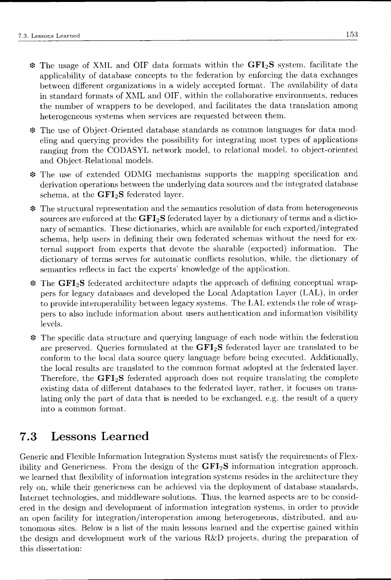- && The usage of XML and OIF data formats within the **GFI <sup>2</sup> S** system, facilitate the applicability of database concepts to the federation by enforcing the data exchanges between different organizations in a widely accepted format. The availability of data in standard formats of XML and OIF, within the collaborative environments, reduces the number of wrappers to be developed, and facilitates the data translation among heterogeneous systems when services are requested between them.
- *%%* The use of Object-Oriented database standards as common languages for dat a modelingg and querying provides the possibility for integrating most types of applications ranging from the CODASYL network model, to relational model, to object-oriented and Object-Relational models.
- *00* The use of extended ODMG mechanisms supports the mapping specification and derivation operations between the underlying data sources and the integrated database schema,, at the **GFI2S** federated layer.
- $\ast$  The structural representation and the semantics resolution of data from heterogeneous sources are enforced at the  $\text{GFI}_2\text{S}$  federated layer by a dictionary of terms and a dictionaryy of semantics. These dictionaries, which are available for each exported/integrated schema,, help users in defining their own federated schemas without the need for external support from experts that devote the sharable (exported) information. The dictionary of terms serves for automatic conflicts resolution, while, the dictionary of semantics reflects in fact the experts' knowledge of the application.
- *^^* The **GFI2S** federated architecture adapts the approach of defining conceptual wrapperss for legacy databases and developed the Local Adaptation Layer (LAL), in order to provide interoperability between legacy systems. The LAL extends the role of wrapperss to also include information about users authentication and information visibility levels. .
- 00 The specific data structure and querying language of each node within the federation are preserved. Queries formulated at the **GFI**<sub>2</sub>**S** federated layer are translated to be conformm to the local data source query language before being executed. Additionally, the local results are translated to the common format adopted at the federated layer. Therefore, the **GFI<sub>2</sub>S** federated approach does not require translating the complete existing data of different databases to the federated layer, rather, it focuses on translating only the part of data that is needed to be exchanged, e.g. the result of a query into a common format.

### 7.33 Lessons Learned

Generic and Flexible Information Integration Systems must satisfy the requirements of Flexibility and Genericness. From the design of the  $GFI_2S$  information integration approach, we learned that flexibility of information integration systems resides in the architecture they rely on, while their genericness can be achieved via the deployment of database standards, Internet technologies, and middleware solutions. Thus, the learned aspects are to be considered in the design and development of information integration systems, in order to provide an open facility for integration/interoperation among heterogeneous, distributed, and autonomouss sites. Below is a list of the main lessons learned and the expertise gained within the design and development work of the various R&D projects, during the preparation of this dissertation: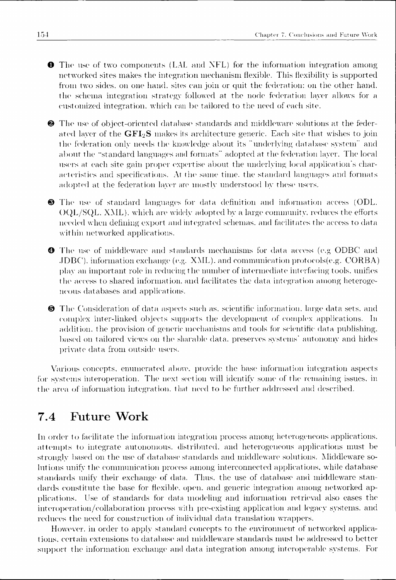**O** The use of two components (LAL and NFL) for the information integration among networked sites makes the integration mechanism flexible. This flexibility is supported from two sides, on one hand, sites can join or quit the federation: on the other hand, the schema integration strategy followed at the node federation layer allows for a customized integration, which can be tailored to the need of each site.

 $\bullet$  The use of object-oriented database standards and middleware solutions at the federated layer of the  $GFI<sub>2</sub>S$  makes its architecture generic. Each site that wishes to join the federation only needs the knowledge about its "underlying database system" and about the "standard languages and formats" adopted at the federation layer. The local users at each site gain proper expertise about the underlying local application's characteristics and specifications. At the same time, the standard languages and formats adopted at the federation layer are mostly understood by these users.

©© The use of standard languages for data definition and information access (ODL. OQL/SQL.. XML}, which are widely adopted by a large community, reduces the efforts needed when defining export and integrated schemas, and facilitates the access to data within networked applications.

**O** The use of middleware and standards mechanisms for data access (e.g ODBC and .JDBC).. information exchange (e.g. XML), and communication protocols(e.g. CORBA) playy an important role in reducing the number of intermediate interfacing tools, unifies the access to shared information, and facilitates the data integration among heterogeneous databases and applications.

©© The Consideration of data aspects such as. scientific information, large data sets, and complex inter-linked objects supports the development of complex applications. In addition, the provision of generic mechanisms and tools for scientific data publishing. based on tailored views on the sharable data, preserves systems' autonomy and hides private data from outside users.

Various concepts, enumerated above, provide the base information integration aspects for systems interoperation. The next section will identify some of the remaining issues, in the area of information integration, that need to be further addressed and described.

### 7.44 Future Work

In order to facilitate the information integration process among heterogeneous applications. attempts to integrate autonomous, distributed, and heterogeneous applications must be strongly based on the use of database standards and middleware solutions. Middleware solutions unify the communication process among interconnected applications, while database standards unify their exchange of data. Thus, the use of database and middleware standards constitute the base for flexible, open, and generic integration among networked applicatiems.. Use of standards for elata modeling and information retrieval also eases the interoperation/collaboration process with pre-existing application and legacy systems, and reduces the need for construction of individual data translation wrappers.

However, in order to apply standard concepts to the environment of networked applications, certain extensions to database and middleware standards must be addressed to better support the information exchange and data integration among interoperable systems. For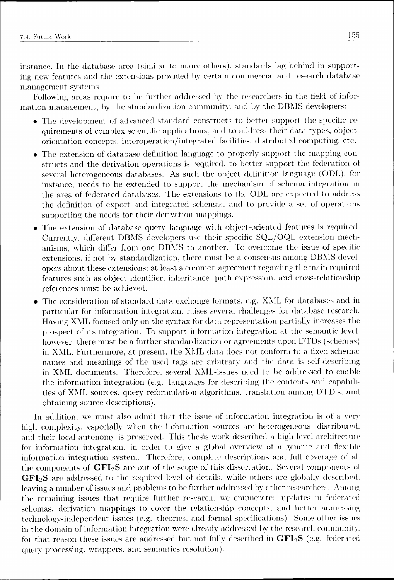instance.. In the database area (similar to many others), standards lag behind in supporting new features and the extensions provided by certain commercial and research database management systems.

Following areas require to be further addressed by the researchers in the field of information management, by the standardization community, and by the DBMS developers:

- The development of advanced standard constructs to better support the specific requirements of complex scientific applications, and to address their data types, objectorientation concepts, interoperation/integrated facilities, distributed computing, etc.
- The extension of database definition language to properly support the mapping constructss and the derivation operations is required, to better support the federation of several heterogeneous databases. As such the object definition language (ODL). for instance, needs to be extended to support the mechanism of schema integration in the area of federated databases. The extensions to the ODL are expected to address the definition of export and integrated schemas, and to provide a set of operations supporting the needs for their derivation mappings.
- The extension of database query language with object-oriented features is required. Currently,, different DBMS developers use their specific SQL/OQL extension mechanisms,, which differ from one DBMS to another. To overcome the issue of specific extensions, if not by standardization, there must be a consensus among DBMS developers about these extensions; at least a common agreement regarding the main required features such as object identifier, inheritance, path expression, and cross-relationship references must be achieved.
- The consideration of standard data exchange formats, e.g. XML for databases and in particular for information integration, raises several challenges for database research. Havingg XML focused only on the syntax for data representation partially increases the prospect of its integration. To support information integration at the semantic level, however, there must be a further standardization or agreements upon DTDs (schemas) in XML. Furthermore, at present, the XML data does not conform to a fixed schema: names and meanings of the used tags are arbitrary and the data is self-describing in XML documents. Therefore, several XML-issues need to be addressed to enable the information integration (e.g. languages for describing the contents and capabilities of XML sources, query reformulation algorithms, translation among DTD's, and obtaining source descriptions).

In addition, we must also admit that the issue of information integration is of a very high complexity, especially when the information sources are heterogeneous, distributed, and their local autonomy is preserved. This thesis work described a high level architecture for information integration, in order to give a global overview of a generic and flexible information integration system. Therefore, complete descriptions and full coverage of all the components of  $GFI_2S$  are out of the scope of this dissertation. Several components of  $GFI<sub>2</sub>S$  are addressed to the required level of details, while others are globally described. leaving a number of issues and problems to be further addressed by other researchers. Among the remaining issues that require further research, we enumerate: updates in federated schemas.. derivation mappings to cover the relationship concepts, and better addressing technology-independent issues (e.g. theories, and formal specifications). Some other issues in the domain of information integration were already addressed by the research community. for that reason these issues are addressed but not fully described in  $\text{GFI}_2\text{S}$  (e.g. federated queryy processing, wrappers, and semantics resolution).